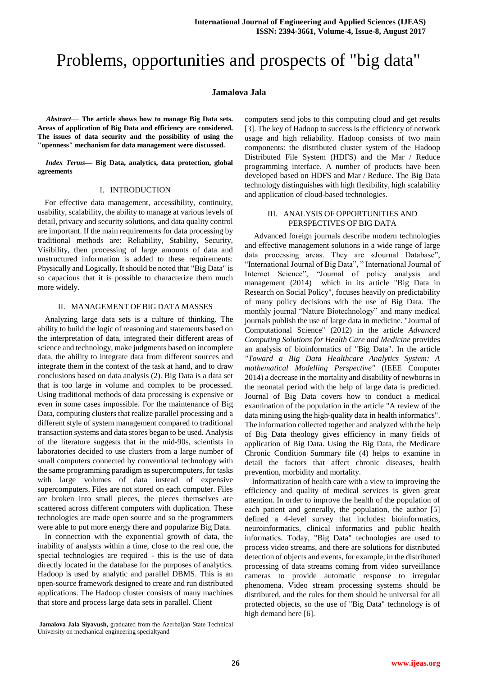# Problems, opportunities and prospects of "big data"

## **Jamalova Jala**

*Abstract*— **The article shows how to manage Big Data sets. Areas of application of Big Data and efficiency are considered. The issues of data security and the possibility of using the "openness" mechanism for data management were discussed.**

*Index Terms***— Big Data, analytics, data protection, global agreements**

## I. INTRODUCTION

For effective data management, accessibility, continuity, usability, scalability, the ability to manage at various levels of detail, privacy and security solutions, and data quality control are important. If the main requirements for data processing by traditional methods are: Reliability, Stability, Security, Visibility, then processing of large amounts of data and unstructured information is added to these requirements: Physically and Logically. It should be noted that "Big Data" is so capacious that it is possible to characterize them much more widely.

### II. MANAGEMENT OF BIG DATA MASSES

Analyzing large data sets is a culture of thinking. The ability to build the logic of reasoning and statements based on the interpretation of data, integrated their different areas of science and technology, make judgments based on incomplete data, the ability to integrate data from different sources and integrate them in the context of the task at hand, and to draw conclusions based on data analysis (2). Big Data is a data set that is too large in volume and complex to be processed. Using traditional methods of data processing is expensive or even in some cases impossible. For the maintenance of Big Data, computing clusters that realize parallel processing and a different style of system management compared to traditional transaction systems and data stores began to be used. Analysis of the literature suggests that in the mid-90s, scientists in laboratories decided to use clusters from a large number of small computers connected by conventional technology with the same programming paradigm as supercomputers, for tasks with large volumes of data instead of expensive supercomputers. Files are not stored on each computer. Files are broken into small pieces, the pieces themselves are scattered across different computers with duplication. These technologies are made open source and so the programmers were able to put more energy there and popularize Big Data.

In connection with the exponential growth of data, the inability of analysts within a time, close to the real one, the special technologies are required - this is the use of data directly located in the database for the purposes of analytics. Hadoop is used by analytic and parallel DBMS. This is an open-source framework designed to create and run distributed applications. The Hadoop cluster consists of many machines that store and process large data sets in parallel. Client

**Jamalova Jala Siyavush,** graduated from the Azerbaijan State Technical University on mechanical engineering specialtyand

computers send jobs to this computing cloud and get results [3]. The key of Hadoop to success is the efficiency of network usage and high reliability. Hadoop consists of two main components: the distributed cluster system of the Hadoop Distributed File System (HDFS) and the Mar / Reduce programming interface. A number of products have been developed based on HDFS and Mar / Reduce. The Big Data technology distinguishes with high flexibility, high scalability and application of cloud-based technologies.

## III. ANALYSIS OF OPPORTUNITIES AND PERSPECTIVES OF BIG DATA

Advanced foreign journals describe modern technologies and effective management solutions in a wide range of large data processing areas. They are «Journal Database", "International Journal of Big Data", " International Journal of Internet Science", "Journal of policy analysis and management (2014) which in its article "Big Data in Research on Social Policy", focuses heavily on predictability of many policy decisions with the use of Big Data. The monthly journal "Nature Biotechnology" and many medical journals publish the use of large data in medicine. "Journal of Computational Science" (2012) in the article *Advanced Computing Solutions for Health Care and Medicine* provides an analysis of bioinformatics of "Big Data". In the article *"Toward a Big Data Healthcare Analytics System: A mathematical Modelling Perspective"* (IEEE Computer 2014) a decrease in the mortality and disability of newborns in the neonatal period with the help of large data is predicted. Journal of Big Data covers how to conduct a medical examination of the population in the article "A review of the data mining using the high-quality data in health informatics". The information collected together and analyzed with the help of Big Data theology gives efficiency in many fields of application of Big Data. Using the Big Data, the Medicare Chronic Condition Summary file (4) helps to examine in detail the factors that affect chronic diseases, health prevention, morbidity and mortality.

Informatization of health care with a view to improving the efficiency and quality of medical services is given great attention. In order to improve the health of the population of each patient and generally, the population, the author [5] defined a 4-level survey that includes: bioinformatics, neuroinformatics, clinical informatics and public health informatics. Today, "Big Data" technologies are used to process video streams, and there are solutions for distributed detection of objects and events, for example, in the distributed processing of data streams coming from video surveillance cameras to provide automatic response to irregular phenomena. Video stream processing systems should be distributed, and the rules for them should be universal for all protected objects, so the use of "Big Data" technology is of high demand here [6].